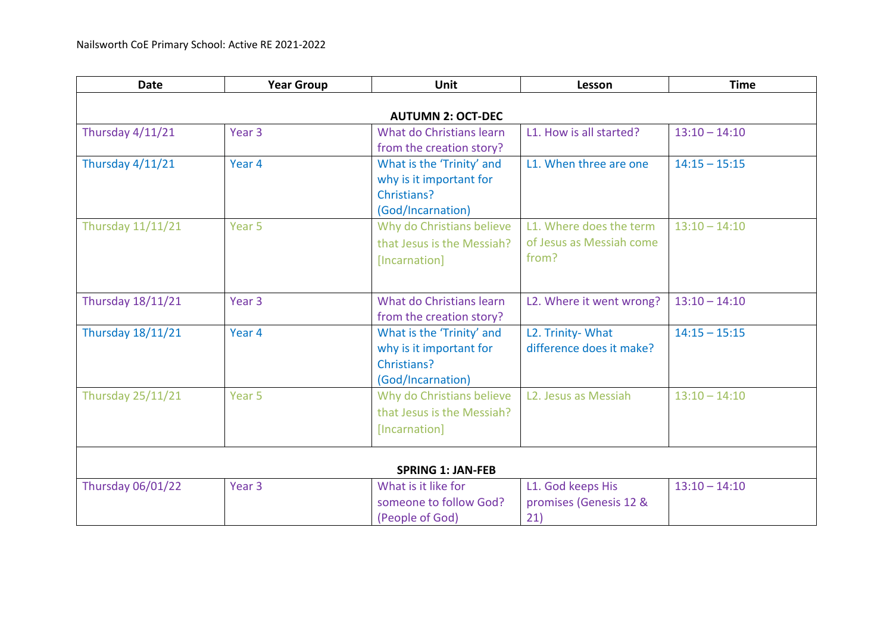| <b>Date</b>              | <b>Year Group</b> | <b>Unit</b>                                                                              | Lesson                                                       | <b>Time</b>     |  |
|--------------------------|-------------------|------------------------------------------------------------------------------------------|--------------------------------------------------------------|-----------------|--|
| <b>AUTUMN 2: OCT-DEC</b> |                   |                                                                                          |                                                              |                 |  |
| Thursday 4/11/21         | Year <sub>3</sub> | What do Christians learn<br>from the creation story?                                     | L1. How is all started?                                      | $13:10 - 14:10$ |  |
| <b>Thursday 4/11/21</b>  | Year 4            | What is the 'Trinity' and<br>why is it important for<br>Christians?<br>(God/Incarnation) | L1. When three are one                                       | $14:15 - 15:15$ |  |
| <b>Thursday 11/11/21</b> | Year 5            | Why do Christians believe<br>that Jesus is the Messiah?<br>[Incarnation]                 | L1. Where does the term<br>of Jesus as Messiah come<br>from? | $13:10 - 14:10$ |  |
| <b>Thursday 18/11/21</b> | Year <sub>3</sub> | What do Christians learn<br>from the creation story?                                     | L2. Where it went wrong?                                     | $13:10 - 14:10$ |  |
| <b>Thursday 18/11/21</b> | Year 4            | What is the 'Trinity' and<br>why is it important for<br>Christians?<br>(God/Incarnation) | L2. Trinity- What<br>difference does it make?                | $14:15 - 15:15$ |  |
| <b>Thursday 25/11/21</b> | Year 5            | Why do Christians believe<br>that Jesus is the Messiah?<br>[Incarnation]                 | L2. Jesus as Messiah                                         | $13:10 - 14:10$ |  |
|                          |                   | <b>SPRING 1: JAN-FEB</b>                                                                 |                                                              |                 |  |
| <b>Thursday 06/01/22</b> | Year <sub>3</sub> | What is it like for<br>someone to follow God?<br>(People of God)                         | L1. God keeps His<br>promises (Genesis 12 &<br>21)           | $13:10 - 14:10$ |  |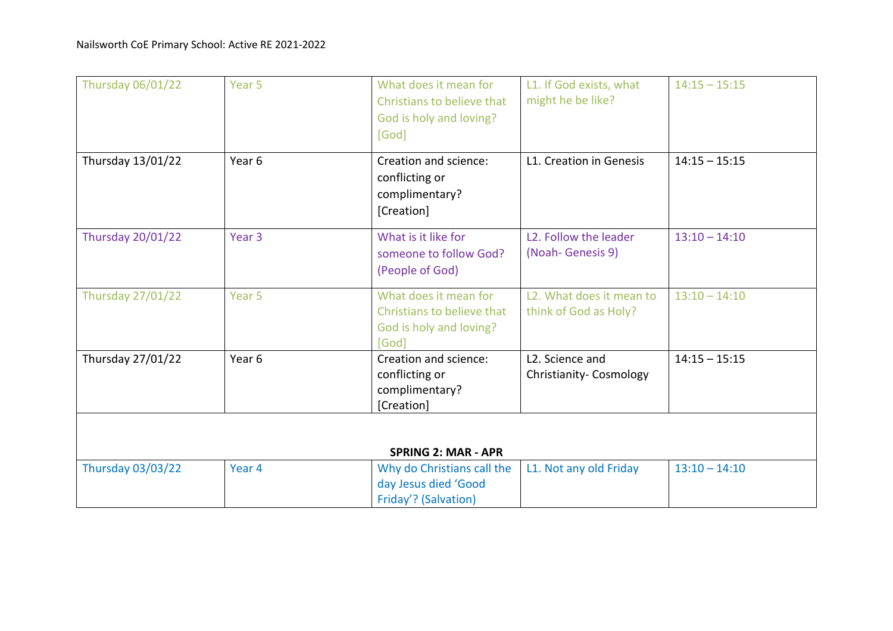| <b>Thursday 06/01/22</b> | Year 5            | What does it mean for<br>Christians to believe that<br>God is holy and loving?<br>[God] | L1. If God exists, what<br>might he be like?                   | $14:15 - 15:15$ |
|--------------------------|-------------------|-----------------------------------------------------------------------------------------|----------------------------------------------------------------|-----------------|
| Thursday 13/01/22        | Year 6            | Creation and science:<br>conflicting or<br>complimentary?<br>[Creation]                 | L1. Creation in Genesis                                        | $14:15 - 15:15$ |
| <b>Thursday 20/01/22</b> | Year <sub>3</sub> | What is it like for<br>someone to follow God?<br>(People of God)                        | L <sub>2</sub> . Follow the leader<br>(Noah-Genesis 9)         | $13:10 - 14:10$ |
| <b>Thursday 27/01/22</b> | Year <sub>5</sub> | What does it mean for<br>Christians to believe that<br>God is holy and loving?<br>[God] | L <sub>2</sub> . What does it mean to<br>think of God as Holy? | $13:10 - 14:10$ |
| Thursday 27/01/22        | Year <sub>6</sub> | Creation and science:<br>conflicting or<br>complimentary?<br>[Creation]                 | L2. Science and<br>Christianity- Cosmology                     | $14:15 - 15:15$ |
|                          |                   | <b>SPRING 2: MAR - APR</b>                                                              |                                                                |                 |
| <b>Thursday 03/03/22</b> | Year 4            | Why do Christians call the<br>day Jesus died 'Good<br>Friday'? (Salvation)              | L1. Not any old Friday                                         | $13:10 - 14:10$ |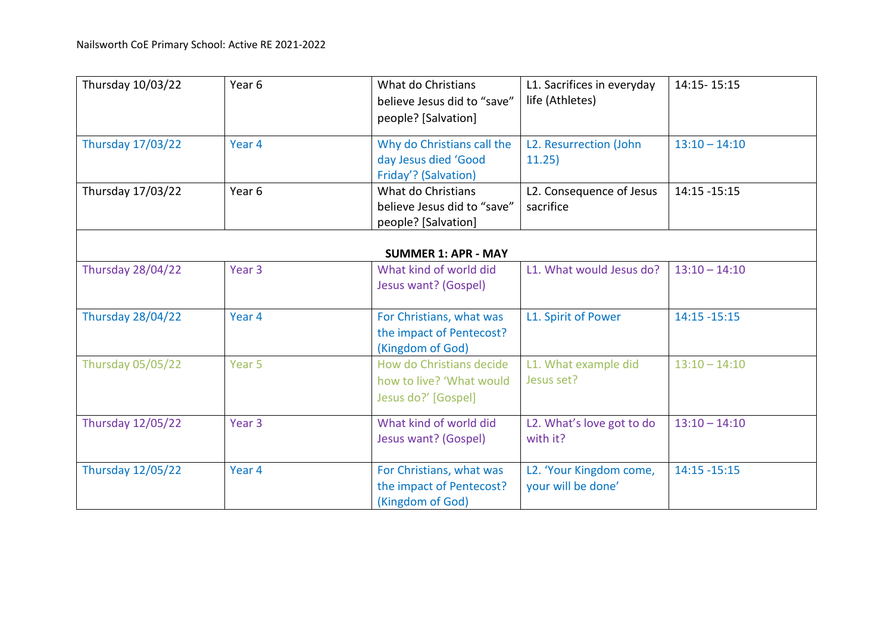| Thursday 10/03/22        | Year <sub>6</sub> | What do Christians<br>believe Jesus did to "save"<br>people? [Salvation]    | L1. Sacrifices in everyday<br>life (Athletes) | 14:15-15:15     |
|--------------------------|-------------------|-----------------------------------------------------------------------------|-----------------------------------------------|-----------------|
| <b>Thursday 17/03/22</b> | Year 4            | Why do Christians call the<br>day Jesus died 'Good<br>Friday'? (Salvation)  | L2. Resurrection (John<br>11.25)              | $13:10 - 14:10$ |
| Thursday 17/03/22        | Year 6            | What do Christians<br>believe Jesus did to "save"<br>people? [Salvation]    | L2. Consequence of Jesus<br>sacrifice         | 14:15 - 15:15   |
|                          |                   | <b>SUMMER 1: APR - MAY</b>                                                  |                                               |                 |
| <b>Thursday 28/04/22</b> | Year <sub>3</sub> | What kind of world did<br>Jesus want? (Gospel)                              | L1. What would Jesus do?                      | $13:10 - 14:10$ |
| <b>Thursday 28/04/22</b> | Year 4            | For Christians, what was<br>the impact of Pentecost?<br>(Kingdom of God)    | L1. Spirit of Power                           | 14:15 - 15:15   |
| <b>Thursday 05/05/22</b> | Year 5            | How do Christians decide<br>how to live? 'What would<br>Jesus do?' [Gospel] | L1. What example did<br>Jesus set?            | $13:10 - 14:10$ |
| <b>Thursday 12/05/22</b> | Year <sub>3</sub> | What kind of world did<br>Jesus want? (Gospel)                              | L2. What's love got to do<br>with it?         | $13:10 - 14:10$ |
| <b>Thursday 12/05/22</b> | Year 4            | For Christians, what was<br>the impact of Pentecost?<br>(Kingdom of God)    | L2. 'Your Kingdom come,<br>your will be done' | $14:15 - 15:15$ |